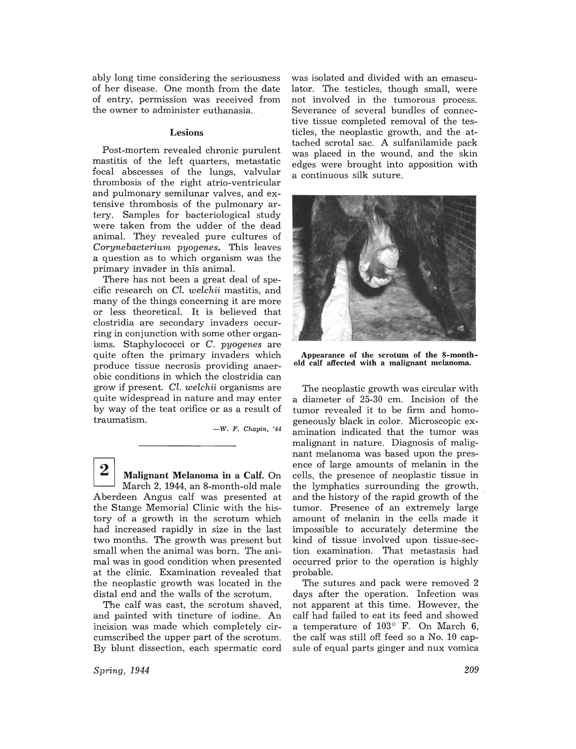ably long time considering the seriousness of her disease. One month from the date of entry, permission was received from the owner to administer euthanasia.

## Lesions

Post-mortem revealed chronic purulent mastitis of the left quarters, metastatic focal abscesses of the lungs, valvular thrombosis of the right atrio-ventricular and pulmonary semilunar valves, and extensive thrombosis of the pulmonary artery. Samples for bacteriological study were taken from the udder of the dead animal. They revealed pure cultures of *Corynebacterium pyogenes.* This leaves a question as to which organism was the primary invader in this animal.

There has not been a great deal of specific research on *Cl. welchii* mastitis, and many of the things concerning it are more or less theoretical. It is believed that clostridia are secondary invaders occurring in conjunction with some other organisms. Staphylococci or C. *pyogenes* are quite often the primary invaders which produce tissue necrosis providing anaerobic conditions in which the clostridia can grow if present. *Cl. welchii* organisms are quite widespread in nature and may enter by way of the teat orifice or as a result of traumatism.

-W. F. Chapin, '44

 $\begin{array}{c|c} \mathbf{2} & \mathbf{M} \ \mathbf{3} & \mathbf{M} \end{array}$  Malignant Melanoma in a Calf. On March 2, 1944, an 8-month-old male Aberdeen Angus calf was presented at the Stange Memorial Clinic with the history of a growth in the scrotum which had increased rapidly in size in the last two months. The growth was present but small when the animal was born. The animal was in good condition when presented at the clinic. Examination revealed that the neoplastic growth was located in the distal end and the walls of the scrotum.

The calf was cast, the scrotum shaved, and painted with tincture of iodine. An incision was made which completely circumscribed the upper part of the scrotum. By blunt dissection, each spermatic cord

*Spring, 1944* 

was isolated and divided with an emasculator. The testicles, though small, were not involved in the tumorous process. Severance of several bundles of connective tissue completed removal of the testicles, the neoplastic growth, and the attached scrotal sac. A sulfanilamide pack was placed in the wound, and the skin edges were brought into apposition with a continuous silk suture.



Appearance of the scrotum of the 8-monthold calf affected with a malignant melanoma.

The neoplastic growth was circular with a diameter of 25-30 cm. Incision of the tumor revealed it to be firm and homogeneously black in color. Microscopic examination indicated that the tumor was malignant in nature. Diagnosis of malignant melanoma was based upon the presence of large amounts of melanin in the cells, the presence of neoplastic tissue in the lymphatics surrounding the growth, and the history of the rapid growth of the tumor. Presence of an extremely large amount of melanin in the cells made it impossible to accurately determine the kind of tissue involved upon tissue-section examination. That metastasis had occurred prior to the operation is highly probable.

The sutures and pack were removed 2 days after the operation. Infection was not apparent at this time. However, the calf had failed to eat its feed and showed a temperature of  $103^{\circ}$  F. On March 6, the calf was still off feed so a No. 10 capsule of equal parts ginger and nux vomica